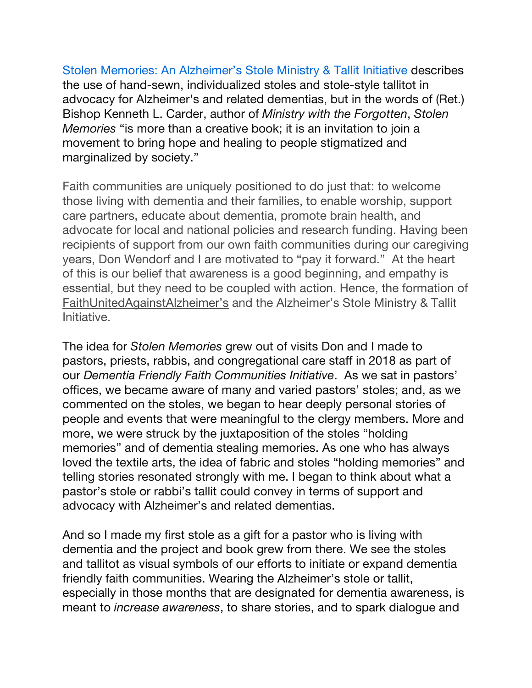Stolen Memories: An Alzheimer's Stole Ministry & Tallit Initiative describes the use of hand-sewn, individualized stoles and stole-style tallitot in advocacy for Alzheimer's and related dementias, but in the words of (Ret.) Bishop Kenneth L. Carder, author of *Ministry with the Forgotten*, *Stolen Memories* "is more than a creative book; it is an invitation to join a movement to bring hope and healing to people stigmatized and marginalized by society."

Faith communities are uniquely positioned to do just that: to welcome those living with dementia and their families, to enable worship, support care partners, educate about dementia, promote brain health, and advocate for local and national policies and research funding. Having been recipients of support from our own faith communities during our caregiving years, Don Wendorf and I are motivated to "pay it forward." At the heart of this is our belief that awareness is a good beginning, and empathy is essential, but they need to be coupled with action. Hence, the formation of FaithUnitedAgainstAlzheimer's and the Alzheimer's Stole Ministry & Tallit **Initiative** 

The idea for *Stolen Memories* grew out of visits Don and I made to pastors, priests, rabbis, and congregational care staff in 2018 as part of our *Dementia Friendly Faith Communities Initiative*. As we sat in pastors' offices, we became aware of many and varied pastors' stoles; and, as we commented on the stoles, we began to hear deeply personal stories of people and events that were meaningful to the clergy members. More and more, we were struck by the juxtaposition of the stoles "holding memories" and of dementia stealing memories. As one who has always loved the textile arts, the idea of fabric and stoles "holding memories" and telling stories resonated strongly with me. I began to think about what a pastor's stole or rabbi's tallit could convey in terms of support and advocacy with Alzheimer's and related dementias.

And so I made my first stole as a gift for a pastor who is living with dementia and the project and book grew from there. We see the stoles and tallitot as visual symbols of our efforts to initiate or expand dementia friendly faith communities. Wearing the Alzheimer's stole or tallit, especially in those months that are designated for dementia awareness, is meant to *increase awareness*, to share stories, and to spark dialogue and